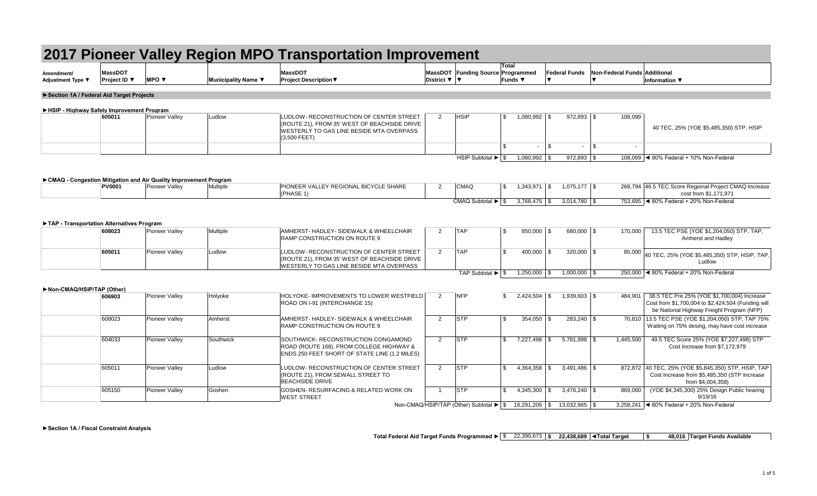|                                           |                                |                                                                    |                     | 2017 Pioneer Valley Region MPO Transportation Improvement                                                                                                                                                     |                     |                                                                               |                |                            |              |                          |                                |                                                                                                                                                |
|-------------------------------------------|--------------------------------|--------------------------------------------------------------------|---------------------|---------------------------------------------------------------------------------------------------------------------------------------------------------------------------------------------------------------|---------------------|-------------------------------------------------------------------------------|----------------|----------------------------|--------------|--------------------------|--------------------------------|------------------------------------------------------------------------------------------------------------------------------------------------|
| Amendment/<br>Adjustment Type ▼           | <b>MassDOT</b><br>Project ID ▼ | <b>MPO</b> $\blacktriangledown$                                    | Municipality Name ▼ | <b>MassDOT</b><br><b>Project Description ▼</b>                                                                                                                                                                | District ▼ ▼        | MassDOT Funding Source Programmed                                             | Total          | Funds ▼                    |              | <b>Federal Funds</b>     | Non-Federal Funds Additional   | <b>Information</b> ▼                                                                                                                           |
| Section 1A / Federal Aid Target Projects  |                                |                                                                    |                     |                                                                                                                                                                                                               |                     |                                                                               |                |                            |              |                          |                                |                                                                                                                                                |
|                                           |                                |                                                                    |                     |                                                                                                                                                                                                               |                     |                                                                               |                |                            |              |                          |                                |                                                                                                                                                |
| HSIP - Highway Safety Improvement Program | 605011                         | Pioneer Valley                                                     | Ludlow              | LUDLOW- RECONSTRUCTION OF CENTER STREET<br>(ROUTE 21), FROM 35' WEST OF BEACHSIDE DRIVE<br>WESTERLY TO GAS LINE BESIDE MTA OVERPASS<br>(3,500 FEET)                                                           | 2                   | <b>HSIP</b>                                                                   | \$             | $1,080,992$ \$             |              | 972,893 \$               | 108,099                        | 40 TEC, 25% (YOE \$5,485,350) STP, HSIP                                                                                                        |
|                                           |                                |                                                                    |                     |                                                                                                                                                                                                               |                     |                                                                               | \$             | $\sim$                     | $\mathbf{s}$ | $\sim$                   | $\mathsf{s}$<br>$\blacksquare$ |                                                                                                                                                |
|                                           |                                |                                                                    |                     |                                                                                                                                                                                                               |                     | HSIP Subtotal $\blacktriangleright$ $\mid$ \$                                 |                | $1,080,992$ \$             |              | 972,893 \$               |                                | 108,099 < 90% Federal + 10% Non-Federal                                                                                                        |
|                                           |                                | ► CMAQ - Congestion Mitigation and Air Quality Improvement Program |                     |                                                                                                                                                                                                               |                     |                                                                               |                |                            |              |                          |                                |                                                                                                                                                |
|                                           | <b>PV0001</b>                  | Pioneer Valley                                                     | <b>Multiple</b>     | PIONEER VALLEY REGIONAL BICYCLE SHARE<br>(PHASE 1)                                                                                                                                                            | $\overline{2}$      | <b>CMAQ</b>                                                                   | \$             | $1,343,971$ \$             |              | $1,075,177$ \$           |                                | 268,794 46.5 TEC Score Regional Project CMAQ Increase<br>cost from \$1.171.971                                                                 |
|                                           |                                |                                                                    |                     |                                                                                                                                                                                                               |                     | CMAQ Subtotal $\blacktriangleright$ $\mid$ \$                                 |                | $3,768,475$ \\$            |              | $3,014,780$ \$           |                                | 753,695   4 80% Federal + 20% Non-Federal                                                                                                      |
| TAP - Transportation Alternatives Program | 608023<br>605011               | Pioneer Valley<br>Pioneer Valley                                   | Multiple<br>Ludlow  | AMHERST- HADLEY- SIDEWALK & WHEELCHAIR<br>RAMP CONSTRUCTION ON ROUTE 9<br>LUDLOW- RECONSTRUCTION OF CENTER STREET<br>(ROUTE 21), FROM 35' WEST OF BEACHSIDE DRIVE<br>WESTERLY TO GAS LINE BESIDE MTA OVERPASS | 2<br>$\overline{2}$ | <b>TAP</b><br><b>TAP</b>                                                      | \$.<br>\$      | $850,000$ \$<br>400,000 \$ |              | 680,000 \$<br>320,000 \$ | 170,000<br>80,000              | 13.5 TEC PSE (YOE \$1,204,050) STP, TAP,<br>Amherst and Hadley<br>40 TEC, 25% (YOE \$5,485,350) STP, HSIP, TAP<br>Ludlow                       |
|                                           |                                |                                                                    |                     |                                                                                                                                                                                                               |                     | TAP Subtotal $\blacktriangleright$ $\mid$ \$                                  |                | $1,250,000$ \\$            |              | $1,000,000$ \$           |                                | 250,000   4 80% Federal + 20% Non-Federal                                                                                                      |
| Non-CMAQ/HSIP/TAP (Other)                 |                                |                                                                    |                     |                                                                                                                                                                                                               |                     |                                                                               |                |                            |              |                          |                                |                                                                                                                                                |
|                                           | 606903                         | <b>Pioneer Valley</b>                                              | Holyoke             | HOLYOKE-IMPROVEMENTS TO LOWER WESTFIELD<br>ROAD ON I-91 (INTERCHANGE 15)                                                                                                                                      | 2                   | <b>NFP</b>                                                                    | \$             | $2,424,504$ \$             |              | $1,939,603$ \$           | 484,901                        | 38.5 TEC Pre 25% (YOE \$1,700,004) Increase<br>Cost from \$1,700,004 to \$2,424,504 (Funding will<br>be National Highway Freight Program (NFP) |
|                                           | 608023                         | Pioneer Valley                                                     | Amherst             | AMHERST- HADLEY- SIDEWALK & WHEELCHAIR<br>RAMP CONSTRUCTION ON ROUTE 9                                                                                                                                        | $\overline{2}$      | <b>STP</b>                                                                    | $\mathfrak{L}$ | 354,050 \$                 |              | 283,240 \$               |                                | 70,810 13.5 TEC PSE (YOE \$1,204,050) STP, TAP 75%<br>Waiting on 75% desing, may have cost increase                                            |
|                                           | 604033                         | Pioneer Vallev                                                     | Southwick           | SOUTHWICK- RECONSTRUCTION CONGAMOND<br>ROAD (ROUTE 168), FROM COLLEGE HIGHWAY &<br>ENDS 250 FEET SHORT OF STATE LINE (1.2 MILES)                                                                              | $\overline{2}$      | <b>STP</b>                                                                    | \$             | 7.227.498                  | l \$         | $5.781.998$ \$           | 1,445,500                      | 49.5 TEC Score 25% (YOE \$7,227,498) STP<br>Cost Increase from \$7.172.979                                                                     |
|                                           | 605011                         | Pioneer Valley                                                     | Ludlow              | LUDLOW- RECONSTRUCTION OF CENTER STREET<br>(ROUTE 21), FROM SEWALL STREET TO<br><b>BEACHSIDE DRIVE</b>                                                                                                        | 2                   | <b>STP</b>                                                                    | \$             | 4,364,358                  | l \$         | $3,491,486$ \$           |                                | 872,872 40 TEC, 25% (YOE \$5,845,350) STP, HSIP, TAP<br>Cost Increase from \$5,485,350 (STP Increase<br>from \$4,004,358)                      |
|                                           | 605150                         | Pioneer Valley                                                     | Goshen              | GOSHEN- RESURFACING & RELATED WORK ON<br><b>WEST STREET</b>                                                                                                                                                   | $\overline{1}$      | <b>STP</b>                                                                    | \$             | $4,345,300$ \$             |              | $3.476.240$ \ \$         | 869,060                        | (YOE \$4,345,300) 25% Design Public hearing<br>9/19/16                                                                                         |
|                                           |                                |                                                                    |                     |                                                                                                                                                                                                               |                     | Non-CMAQ/HSIP/TAP (Other) Subtotal $\blacktriangleright$   \$ 16,291,206   \$ |                |                            |              | 13.032.965 \$            |                                | 3,258,241 4 80% Federal + 20% Non-Federal                                                                                                      |

\$ 22,390,673 **\$ 22,438,689 ◄Total Target \$ 48,016 Target Funds Available Total Federal Aid Target Funds Programmed ►**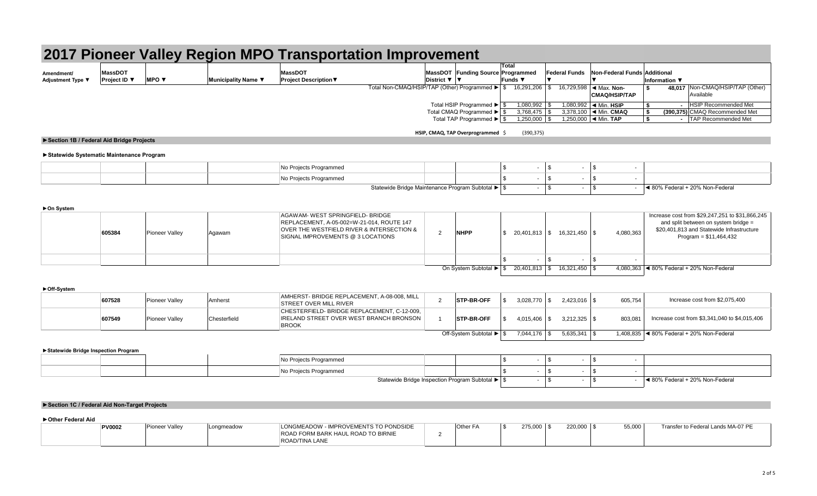|                                        |                   |                                 |                     |                              | 2017 Pioneer Valley Region MPO Transportation Improvement |          |                |                      |                                          |                    |                                  |
|----------------------------------------|-------------------|---------------------------------|---------------------|------------------------------|-----------------------------------------------------------|----------|----------------|----------------------|------------------------------------------|--------------------|----------------------------------|
|                                        | <b>MassDOT</b>    |                                 |                     | <b>MassDOT</b>               | MassDOT Funding Source Programmed                         | Total    |                | <b>Federal Funds</b> | Non-Federal Funds Additional             |                    |                                  |
| Amendment/<br><b>Adjustment Type \</b> | Project ID $\Psi$ | <b>MPO</b> $\blacktriangledown$ | Municipality Name ▼ | <b>Project Description ▼</b> | District $\nabla$   $\nabla$                              | lFunds ▼ |                |                      |                                          | Information $\Psi$ |                                  |
|                                        |                   |                                 |                     |                              | Total Non-CMAQ/HSIP/TAP (Other) Programmed ▶ S            |          | 16.291.206 \$  |                      | 16.729.598   ◀ Max. Non-                 |                    | 48,017 Non-CMAQ/HSIP/TAP (Other) |
|                                        |                   |                                 |                     |                              |                                                           |          |                |                      | <b>CMAQ/HSIP/TAP</b>                     |                    | Available                        |
|                                        |                   |                                 |                     |                              | Total HSIP Programmed ▶ S                                 |          | 1,080,992      |                      | 1,080,992  ◀ Min. HSIP                   |                    | <b>HSIP Recommended Met</b>      |
|                                        |                   |                                 |                     |                              | Total CMAQ Programmed ▶ S                                 |          | 3,768,475      |                      | 3.378.100 $\blacktriangleleft$ Min. CMAQ |                    | (390,375) CMAQ Recommended Met   |
|                                        |                   |                                 |                     |                              | Total TAP Programmed ▶ S                                  |          | 1,250,000   \$ |                      | 1,250,000  ◀ Min. TAP                    |                    | <b>TAP Recommended Met</b>       |

# **HSIP, CMAQ, TAP Overprogrammed** \$ (390,375)

# **►Section 1B / Federal Aid Bridge Projects**

# **►Statewide Systematic Maintenance Program**

|  |  | No Projects Programmed |                                                      |  |                                 |
|--|--|------------------------|------------------------------------------------------|--|---------------------------------|
|  |  | No Projects Programmed |                                                      |  |                                 |
|  |  |                        | Statewide Bridge Maintenance Program Subtotal ▶   \$ |  | ◀ 80% Federal + 20% Non-Federal |

#### **►On System**

| . | 605384 | <b>Pioneer Valley</b> | Agawam | AGAWAM- WEST SPRINGFIELD- BRIDGE<br>REPLACEMENT, A-05-002=W-21-014, ROUTE 147<br>OVER THE WESTFIELD RIVER & INTERSECTION &<br>SIGNAL IMPROVEMENTS @ 3 LOCATIONS | <b>NHPP</b>                                                             | 20.401.813   \$ | 16.321.450 \$ | 4,080,363 | Increase cost from \$29,247,251 to \$31,866,245<br>and split between on system bridge =<br>\$20,401,813 and Statewide Infrastructure<br>$Program = $11,464,432$ |
|---|--------|-----------------------|--------|-----------------------------------------------------------------------------------------------------------------------------------------------------------------|-------------------------------------------------------------------------|-----------------|---------------|-----------|-----------------------------------------------------------------------------------------------------------------------------------------------------------------|
|   |        |                       |        |                                                                                                                                                                 |                                                                         |                 |               |           |                                                                                                                                                                 |
|   |        |                       |        |                                                                                                                                                                 | On System Subtotal $\blacktriangleright$ $\mid$ \$ 20.401.813 $\mid$ \$ |                 | 16 321 450    |           | 4 080 363 4 80% Federal + 20% Non-Federal                                                                                                                       |

On System Subtotal ▶ | \$ 20,401,813 | \$ 16,321,450 | \$ 4,080,363 | ◀ 80% Federal + 20% Non-Federal

### **►Off-System**

| 607528 | <b>Pioneer Valley</b> | Amherst      | AMHERST- BRIDGE REPLACEMENT. A-08-008. MILL<br><b>STREET OVER MILL RIVER</b>                                 | <b>STP-BR-OFF</b>       | $3.028.770$ \\$ |                 | 605,754 | Increase cost from \$2,075,400                               |
|--------|-----------------------|--------------|--------------------------------------------------------------------------------------------------------------|-------------------------|-----------------|-----------------|---------|--------------------------------------------------------------|
| 607549 | <b>Pioneer Valley</b> | Chesterfield | CHESTERFIELD-BRIDGE REPLACEMENT. C-12-009.<br><b>IRELAND STREET OVER WEST BRANCH BRONSON</b><br><b>BROOK</b> | STP-BR-OFF              | 4.015.406       | $3.212.325$ \\$ | 803.081 | Increase cost from \$3,341,040 to \$4,015,406                |
|        |                       |              |                                                                                                              | Off-System Subtotal ▶ S | 7.044.176 \$    | $5.635.341$ \\$ |         | 1,408,835 $\blacktriangleleft$ 80% Federal + 20% Non-Federal |

**►Statewide Bridge Inspection Program**

|  | Projects Programmed ر |                                                     |  |  |                                 |
|--|-----------------------|-----------------------------------------------------|--|--|---------------------------------|
|  | Projects Programmed   |                                                     |  |  |                                 |
|  |                       | Statewide Bridge Inspection Program Subtotal ▶   \$ |  |  | ◀ 80% Federal + 20% Non-Federal |

# **►Section 1C / Federal Aid Non-Target Projects**

# **►Other Federal Aid**

| ROAD FORM BARK HAUL ROAD TO BIRNIE | <b>PV0002</b> | <b>Pioneer Valley</b> | _onameadow | LONGMEADOW - IMPROVEMENTS TO PONDSIDE | Other | 275,000 | 55.000 | to Federal Lands MA-07 PE<br>Fransfr |
|------------------------------------|---------------|-----------------------|------------|---------------------------------------|-------|---------|--------|--------------------------------------|
| <b>ROAD/TINA LANE</b>              |               |                       |            |                                       |       |         |        |                                      |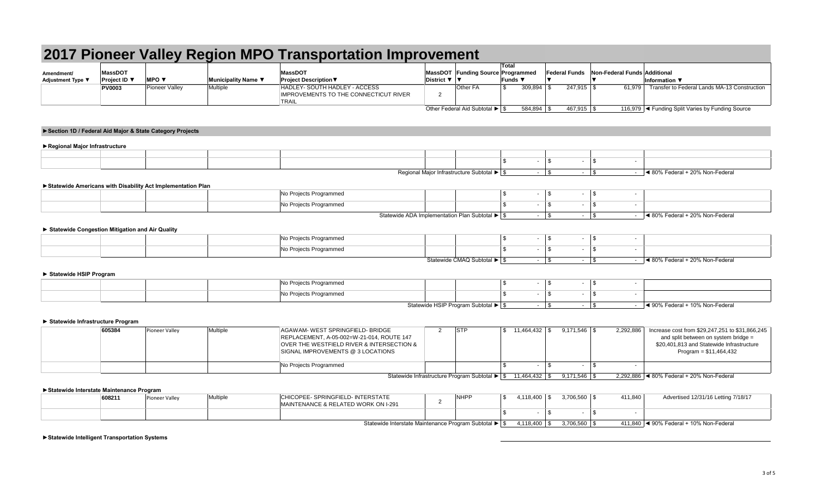|                                                   |                                |                                                             |                     | 2017 Pioneer Valley Region MPO Transportation Improvement                                                                   |                |                                            |                                                                                      |                        |                              |                                                                                                              |
|---------------------------------------------------|--------------------------------|-------------------------------------------------------------|---------------------|-----------------------------------------------------------------------------------------------------------------------------|----------------|--------------------------------------------|--------------------------------------------------------------------------------------|------------------------|------------------------------|--------------------------------------------------------------------------------------------------------------|
| Amendment/<br>Adjustment Type ▼                   | <b>MassDOT</b><br>Project ID ▼ | <b>MPO ▼</b>                                                | Municipality Name ▼ | <b>MassDOT</b><br><b>Project Description ▼</b>                                                                              | District ▼     | <b>MassDOT</b> Funding Source              | Total<br>Programmed<br><b>Funds</b> ▼                                                | <b>Federal Funds</b>   | Non-Federal Funds Additional | <b>Information</b> ▼                                                                                         |
|                                                   | <b>PV0003</b>                  | <b>Pioneer Valley</b>                                       | Multiple            | HADLEY- SOUTH HADLEY - ACCESS<br><b>IMPROVEMENTS TO THE CONNECTICUT RIVER</b><br><b>TRAIL</b>                               | 2              | Other FA                                   | $\sqrt{3}$<br>309,894                                                                | l \$<br>247,915 \$     |                              | 61,979 Transfer to Federal Lands MA-13 Construction                                                          |
|                                                   |                                |                                                             |                     |                                                                                                                             |                | Other Federal Aid Subtotal ▶ S             | 584,894 \$                                                                           | 467,915 \$             |                              | 116,979   < Funding Split Varies by Funding Source                                                           |
|                                                   |                                | Section 1D / Federal Aid Major & State Category Projects    |                     |                                                                                                                             |                |                                            |                                                                                      |                        |                              |                                                                                                              |
| Regional Major Infrastructure                     |                                |                                                             |                     |                                                                                                                             |                |                                            |                                                                                      |                        |                              |                                                                                                              |
|                                                   |                                |                                                             |                     |                                                                                                                             |                |                                            |                                                                                      |                        |                              |                                                                                                              |
|                                                   |                                |                                                             |                     |                                                                                                                             |                |                                            | $\sqrt{3}$<br>$\sim$                                                                 | l \$<br>$\blacksquare$ | $\sqrt{S}$<br>$\blacksquare$ |                                                                                                              |
|                                                   |                                |                                                             |                     |                                                                                                                             |                | Regional Major Infrastructure Subtotal ▶ S |                                                                                      | $ \sqrt{3}$            | $-1$ \$                      | $-$ 4 80% Federal + 20% Non-Federal                                                                          |
|                                                   |                                | Statewide Americans with Disability Act Implementation Plan |                     |                                                                                                                             |                |                                            |                                                                                      |                        |                              |                                                                                                              |
|                                                   |                                |                                                             |                     | No Projects Programmed                                                                                                      |                |                                            | l \$<br>$\sim$                                                                       | $\sqrt{3}$<br>$\sim$   | $\vert$ \$<br>$\blacksquare$ |                                                                                                              |
|                                                   |                                |                                                             |                     | No Projects Programmed                                                                                                      |                |                                            | $\mathbf{s}$<br>$\sim$                                                               | $\sqrt{s}$<br>$\sim$   | l \$<br>$\blacksquare$       |                                                                                                              |
|                                                   |                                |                                                             |                     | Statewide ADA Implementation Plan Subtotal ▶ S                                                                              |                |                                            |                                                                                      | $-1$ \$                | $-1$ \$                      | $-$ 4 80% Federal + 20% Non-Federal                                                                          |
| ▶ Statewide Congestion Mitigation and Air Quality |                                |                                                             |                     |                                                                                                                             |                |                                            |                                                                                      |                        |                              |                                                                                                              |
|                                                   |                                |                                                             |                     | No Projects Programmed                                                                                                      |                |                                            | $\mathbf{\hat{s}}$<br>$\sim$                                                         | $\sqrt{3}$<br>$\sim$   | $\sqrt{S}$<br>$\omega$       |                                                                                                              |
|                                                   |                                |                                                             |                     | No Projects Programmed                                                                                                      |                |                                            | $\sqrt{3}$<br>$\sim$                                                                 | l \$<br>$\sim$         | <b>S</b><br>$\blacksquare$   |                                                                                                              |
|                                                   |                                |                                                             |                     |                                                                                                                             |                | Statewide CMAQ Subtotal ▶ \$               |                                                                                      | $ \sqrt{3}$            | $-1$ \$                      | $-$ 4 80% Federal + 20% Non-Federal                                                                          |
| Statewide HSIP Program                            |                                |                                                             |                     |                                                                                                                             |                |                                            |                                                                                      |                        |                              |                                                                                                              |
|                                                   |                                |                                                             |                     | No Projects Programmed                                                                                                      |                |                                            | $\sqrt{3}$<br>$\sim$                                                                 | $\vert$ \$<br>$\sim$   | $\sqrt{3}$<br>$\sim$         |                                                                                                              |
|                                                   |                                |                                                             |                     | No Projects Programmed                                                                                                      |                |                                            | $\mathbf{s}$                                                                         | l \$<br>$\blacksquare$ | <b>S</b>                     |                                                                                                              |
|                                                   |                                |                                                             |                     |                                                                                                                             |                | Statewide HSIP Program Subtotal ▶ \$       |                                                                                      | $-1$ \$                | $-1$ \$                      | $ \blacktriangleleft$ 90% Federal + 10% Non-Federal                                                          |
|                                                   |                                |                                                             |                     |                                                                                                                             |                |                                            |                                                                                      |                        |                              |                                                                                                              |
| Statewide Infrastructure Program                  | 605384                         | Pioneer Valley                                              | Multiple            | <b>AGAWAM- WEST SPRINGFIELD- BRIDGE</b>                                                                                     | $\overline{2}$ | <b>STP</b>                                 |                                                                                      | $9,171,546$ \$         | 2,292,886                    | Increase cost from \$29,247,251 to \$31,866,245                                                              |
|                                                   |                                |                                                             |                     | REPLACEMENT, A-05-002=W-21-014, ROUTE 147<br>OVER THE WESTFIELD RIVER & INTERSECTION &<br>SIGNAL IMPROVEMENTS @ 3 LOCATIONS |                |                                            |                                                                                      |                        |                              | and split between on system bridge =<br>\$20,401,813 and Statewide Infrastructure<br>Program = $$11,464,432$ |
|                                                   |                                |                                                             |                     | No Projects Programmed                                                                                                      |                |                                            | $\mathbf{\hat{s}}$                                                                   | l \$                   | $\sqrt{S}$<br>$\sim$         |                                                                                                              |
|                                                   |                                |                                                             |                     |                                                                                                                             |                |                                            | Statewide Infrastructure Program Subtotal $\blacktriangleright$   \$ 11,464,432   \$ | $9,171,546$ \$         |                              | 2,292,886 < 80% Federal + 20% Non-Federal                                                                    |
| Statewide Interstate Maintenance Program          |                                |                                                             |                     |                                                                                                                             |                |                                            |                                                                                      |                        |                              |                                                                                                              |
|                                                   | 608211                         | Pioneer Valley                                              | Multiple            | CHICOPEE- SPRINGFIELD- INTERSTATE<br>MAINTENANCE & RELATED WORK ON I-291                                                    | $\overline{2}$ | <b>NHPP</b>                                | l \$                                                                                 | $3,706,560$ \$         | 411,840                      | Advertised 12/31/16 Letting 7/18/17                                                                          |
|                                                   |                                |                                                             |                     |                                                                                                                             |                |                                            | $\mathbf{\hat{s}}$<br>$\sim$                                                         | l \$<br>$\blacksquare$ | $\sqrt{S}$<br>$\sim$         |                                                                                                              |
|                                                   |                                |                                                             |                     | Statewide Interstate Maintenance Program Subtotal ▶ S                                                                       |                |                                            |                                                                                      | $3.706.560$ \ \$       |                              | 411.840   ◀ 90% Federal + 10% Non-Federal                                                                    |
| ▶ Statewide Intelligent Transportation Systems    |                                |                                                             |                     |                                                                                                                             |                |                                            |                                                                                      |                        |                              |                                                                                                              |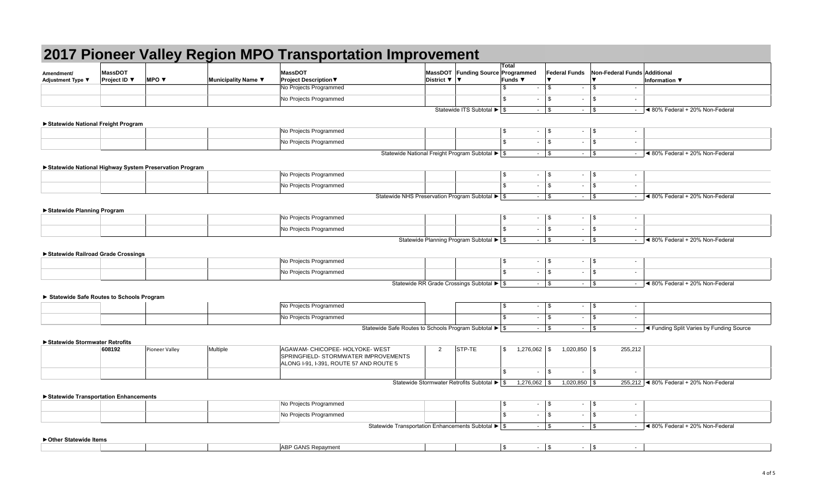| Amendment/<br>Adjustment Type ▼          | <b>MassDOT</b><br>Project ID ▼ | <b>MPO ▼</b>                                             | Municipality Name ▼ | <b>MassDOT</b><br><b>Project Description ▼</b>                                  | MassDOT Funding Source Programmed<br>District ▼ ▼      | Total<br>Funds ▼         | <b>Federal Funds</b>         | <b>Non-Federal Funds Additional</b><br>$\overline{\mathbf{v}}$ | <b>Information</b> ▼                                                                                                                                                                                                                                                                           |
|------------------------------------------|--------------------------------|----------------------------------------------------------|---------------------|---------------------------------------------------------------------------------|--------------------------------------------------------|--------------------------|------------------------------|----------------------------------------------------------------|------------------------------------------------------------------------------------------------------------------------------------------------------------------------------------------------------------------------------------------------------------------------------------------------|
|                                          |                                |                                                          |                     | No Projects Programmed                                                          |                                                        | \$.                      | \$<br>$\sim$                 | $\mathbb S$                                                    |                                                                                                                                                                                                                                                                                                |
|                                          |                                |                                                          |                     | No Projects Programmed                                                          |                                                        | \$.<br>$\sim$            | \$<br>$\sim$                 | \$<br>$\overline{\phantom{a}}$                                 |                                                                                                                                                                                                                                                                                                |
|                                          |                                |                                                          |                     |                                                                                 | Statewide ITS Subtotal ▶ \$                            |                          | $-$ \$                       | $-1$ \$                                                        | $-$ 4 80% Federal + 20% Non-Federal                                                                                                                                                                                                                                                            |
|                                          |                                |                                                          |                     |                                                                                 |                                                        |                          |                              |                                                                |                                                                                                                                                                                                                                                                                                |
| Statewide National Freight Program       |                                |                                                          |                     | No Projects Programmed                                                          |                                                        | \$<br>$\sim$             | 1\$                          | $\blacksquare$                                                 |                                                                                                                                                                                                                                                                                                |
|                                          |                                |                                                          |                     |                                                                                 |                                                        | \$.                      | $\sqrt{3}$                   | \$                                                             |                                                                                                                                                                                                                                                                                                |
|                                          |                                |                                                          |                     | No Projects Programmed                                                          |                                                        | $\sim$                   | 14.                          | $\sim$                                                         |                                                                                                                                                                                                                                                                                                |
|                                          |                                |                                                          |                     |                                                                                 | Statewide National Freight Program Subtotal ▶ S        |                          | $-$ \$                       | $-1$ \$                                                        | $-$ 4 80% Federal + 20% Non-Federal                                                                                                                                                                                                                                                            |
|                                          |                                | ▶ Statewide National Highway System Preservation Program |                     |                                                                                 |                                                        |                          |                              |                                                                |                                                                                                                                                                                                                                                                                                |
|                                          |                                |                                                          |                     | No Projects Programmed                                                          |                                                        | - \$<br>$\sim$           | l \$                         | $-1$ \$<br>$\overline{\phantom{a}}$                            |                                                                                                                                                                                                                                                                                                |
|                                          |                                |                                                          |                     | No Projects Programmed                                                          |                                                        | $\mathfrak{L}$<br>$\sim$ | $\sqrt{3}$<br>$\sim$         | \$<br>$\sim$                                                   |                                                                                                                                                                                                                                                                                                |
|                                          |                                |                                                          |                     |                                                                                 | Statewide NHS Preservation Program Subtotal ▶ S        |                          | $-1$ \$                      |                                                                | $ \blacktriangleleft$ 80% Federal + 20% Non-Federal                                                                                                                                                                                                                                            |
| ▶ Statewide Planning Program             |                                |                                                          |                     |                                                                                 |                                                        |                          |                              |                                                                |                                                                                                                                                                                                                                                                                                |
|                                          |                                |                                                          |                     | No Projects Programmed                                                          |                                                        | - \$<br>$\sim$           | 1\$                          | $-1$ \$<br>$\sim$                                              |                                                                                                                                                                                                                                                                                                |
|                                          |                                |                                                          |                     | No Projects Programmed                                                          |                                                        | \$.<br>$\sim$            | $\sqrt{3}$<br>$\sim$         | 5<br>$\sim$                                                    |                                                                                                                                                                                                                                                                                                |
|                                          |                                |                                                          |                     |                                                                                 | Statewide Planning Program Subtotal ▶ \$               |                          |                              |                                                                | $-$ 4 80% Federal + 20% Non-Federal                                                                                                                                                                                                                                                            |
|                                          |                                |                                                          |                     |                                                                                 |                                                        |                          |                              |                                                                |                                                                                                                                                                                                                                                                                                |
| Statewide Railroad Grade Crossings       |                                |                                                          |                     |                                                                                 |                                                        | - \$                     |                              |                                                                |                                                                                                                                                                                                                                                                                                |
|                                          |                                |                                                          |                     | No Projects Programmed                                                          |                                                        | $\sim$                   | 1\$                          | $\sim$                                                         |                                                                                                                                                                                                                                                                                                |
|                                          |                                |                                                          |                     | No Projects Programmed                                                          |                                                        | \$.<br>$\sim$            | $\sqrt{3}$<br>$\sim$         | \$<br>$\overline{\phantom{a}}$                                 |                                                                                                                                                                                                                                                                                                |
|                                          |                                |                                                          |                     |                                                                                 | Statewide RR Grade Crossings Subtotal ▶ \$             |                          | $-1$ \$                      | $-1$ \$                                                        | $-$ 4 80% Federal + 20% Non-Federal                                                                                                                                                                                                                                                            |
| Statewide Safe Routes to Schools Program |                                |                                                          |                     |                                                                                 |                                                        |                          |                              |                                                                |                                                                                                                                                                                                                                                                                                |
|                                          |                                |                                                          |                     | No Projects Programmed                                                          |                                                        | \$                       | $-1$ \$                      | $-1$ \$<br>$\sim$                                              |                                                                                                                                                                                                                                                                                                |
|                                          |                                |                                                          |                     | No Projects Programmed                                                          |                                                        | \$<br>$\sim$             | <b>S</b><br>$\sim$           | l \$<br>$\sim$                                                 |                                                                                                                                                                                                                                                                                                |
|                                          |                                |                                                          |                     |                                                                                 | Statewide Safe Routes to Schools Program Subtotal ▶ \$ |                          | $-1$ \$                      | $-1$ \$                                                        | - <a> - <a> I<br/> <a> I<br/> <a> I<br/> <a> I<br/> <a> I<br/> <a> I<br/> <a> I<br/> <a> I<br/> <a> I<br/> <a> I<br/> <a> I<br/> <a> I<br/> I<br/><s<></s<> I<br/></a> I<br/>Source<br/> I<br/>Source<br/> I<br/>Source<br/> I<br <="" td=""/></a></a></a></a></a></a></a></a></a></a></a></a> |
|                                          |                                |                                                          |                     |                                                                                 |                                                        |                          |                              |                                                                |                                                                                                                                                                                                                                                                                                |
| ▶ Statewide Stormwater Retrofits         | 608192                         |                                                          | Multiple            | AGAWAM- CHICOPEE- HOLYOKE- WEST                                                 | STP-TE<br>$\overline{2}$                               | \$<br>$1,276,062$ \$     | $1,020,850$ \$               | 255,212                                                        |                                                                                                                                                                                                                                                                                                |
|                                          |                                | <b>Pioneer Valley</b>                                    |                     | SPRINGFIELD- STORMWATER IMPROVEMENTS<br>ALONG I-91, I-391, ROUTE 57 AND ROUTE 5 |                                                        |                          |                              |                                                                |                                                                                                                                                                                                                                                                                                |
|                                          |                                |                                                          |                     |                                                                                 |                                                        | $\mathfrak{L}$<br>$\sim$ | \$<br>$\sim$                 | \$<br>$\blacksquare$                                           |                                                                                                                                                                                                                                                                                                |
|                                          |                                |                                                          |                     |                                                                                 | Statewide Stormwater Retrofits Subtotal ▶ \$           | 1,276,062                | $1,020,850$ \$<br>$\sqrt{3}$ |                                                                | 255,212   4 80% Federal + 20% Non-Federal                                                                                                                                                                                                                                                      |
|                                          |                                |                                                          |                     |                                                                                 |                                                        |                          |                              |                                                                |                                                                                                                                                                                                                                                                                                |
| ▶ Statewide Transportation Enhancements  |                                |                                                          |                     | No Projects Programmed                                                          |                                                        | \$                       | $\sqrt{3}$                   | $\overline{\phantom{a}}$                                       |                                                                                                                                                                                                                                                                                                |
|                                          |                                |                                                          |                     | No Projects Programmed                                                          |                                                        | \$.                      | \$<br>$\sim$                 | $\sqrt{2}$<br>$\overline{\phantom{a}}$                         |                                                                                                                                                                                                                                                                                                |
|                                          |                                |                                                          |                     |                                                                                 | Statewide Transportation Enhancements Subtotal > \$    |                          |                              |                                                                |                                                                                                                                                                                                                                                                                                |
|                                          |                                |                                                          |                     |                                                                                 |                                                        |                          | $-$ \$                       | $-1$ \$                                                        | $-$ 4 80% Federal + 20% Non-Federal                                                                                                                                                                                                                                                            |
| ▶ Other Statewide Items                  |                                |                                                          |                     |                                                                                 |                                                        |                          |                              |                                                                |                                                                                                                                                                                                                                                                                                |
|                                          |                                |                                                          |                     | <b>ABP GANS Repayment</b>                                                       |                                                        | $\sqrt{3}$               |                              | $-1$ \$<br>$\sim$                                              |                                                                                                                                                                                                                                                                                                |